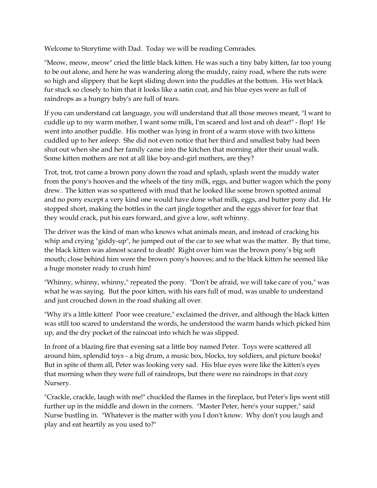Welcome to Storytime with Dad. Today we will be reading Comrades.

"Meow, meow, meow" cried the little black kitten. He was such a tiny baby kitten, far too young to be out alone, and here he was wandering along the muddy, rainy road, where the ruts were so high and slippery that he kept sliding down into the puddles at the bottom. His wet black fur stuck so closely to him that it looks like a satin coat, and his blue eyes were as full of raindrops as a hungry baby's are full of tears.

If you can understand cat language, you will understand that all those meows meant, "I want to cuddle up to my warm mother, I want some milk, I'm scared and lost and oh dear!" - flop! He went into another puddle. His mother was lying in front of a warm stove with two kittens cuddled up to her asleep. She did not even notice that her third and smallest baby had been shut out when she and her family came into the kitchen that morning after their usual walk. Some kitten mothers are not at all like boy-and-girl mothers, are they?

Trot, trot, trot came a brown pony down the road and splash, splash went the muddy water from the pony's hooves and the wheels of the tiny milk, eggs, and butter wagon which the pony drew. The kitten was so spattered with mud that he looked like some brown spotted animal and no pony except a very kind one would have done what milk, eggs, and butter pony did. He stopped short, making the bottles in the cart jingle together and the eggs shiver for fear that they would crack, put his ears forward, and give a low, soft whinny.

The driver was the kind of man who knows what animals mean, and instead of cracking his whip and crying "giddy-up", he jumped out of the car to see what was the matter. By that time, the black kitten was almost scared to death! Right over him was the brown pony's big soft mouth; close behind him were the brown pony's hooves; and to the black kitten he seemed like a huge monster ready to crush him!

"Whinny, whinny, whinny," repeated the pony. "Don't be afraid, we will take care of you," was what he was saying. But the poor kitten, with his ears full of mud, was unable to understand and just crouched down in the road shaking all over.

"Why it's a little kitten! Poor wee creature," exclaimed the driver, and although the black kitten was still too scared to understand the words, he understood the warm hands which picked him up, and the dry pocket of the raincoat into which he was slipped.

In front of a blazing fire that evening sat a little boy named Peter. Toys were scattered all around him, splendid toys - a big drum, a music box, blocks, toy soldiers, and picture books! But in spite of them all, Peter was looking very sad. His blue eyes were like the kitten's eyes that morning when they were full of raindrops, but there were no raindrops in that cozy Nursery.

"Crackle, crackle, laugh with me!" chuckled the flames in the fireplace, but Peter's lips went still further up in the middle and down in the corners. "Master Peter, here's your supper," said Nurse bustling in. "Whatever is the matter with you I don't know. Why don't you laugh and play and eat heartily as you used to?"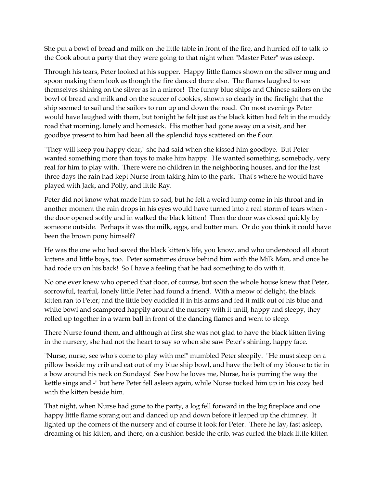She put a bowl of bread and milk on the little table in front of the fire, and hurried off to talk to the Cook about a party that they were going to that night when "Master Peter" was asleep.

Through his tears, Peter looked at his supper. Happy little flames shown on the silver mug and spoon making them look as though the fire danced there also. The flames laughed to see themselves shining on the silver as in a mirror! The funny blue ships and Chinese sailors on the bowl of bread and milk and on the saucer of cookies, shown so clearly in the firelight that the ship seemed to sail and the sailors to run up and down the road. On most evenings Peter would have laughed with them, but tonight he felt just as the black kitten had felt in the muddy road that morning, lonely and homesick. His mother had gone away on a visit, and her goodbye present to him had been all the splendid toys scattered on the floor.

"They will keep you happy dear," she had said when she kissed him goodbye. But Peter wanted something more than toys to make him happy. He wanted something, somebody, very real for him to play with. There were no children in the neighboring houses, and for the last three days the rain had kept Nurse from taking him to the park. That's where he would have played with Jack, and Polly, and little Ray.

Peter did not know what made him so sad, but he felt a weird lump come in his throat and in another moment the rain drops in his eyes would have turned into a real storm of tears when the door opened softly and in walked the black kitten! Then the door was closed quickly by someone outside. Perhaps it was the milk, eggs, and butter man. Or do you think it could have been the brown pony himself?

He was the one who had saved the black kitten's life, you know, and who understood all about kittens and little boys, too. Peter sometimes drove behind him with the Milk Man, and once he had rode up on his back! So I have a feeling that he had something to do with it.

No one ever knew who opened that door, of course, but soon the whole house knew that Peter, sorrowful, tearful, lonely little Peter had found a friend. With a meow of delight, the black kitten ran to Peter; and the little boy cuddled it in his arms and fed it milk out of his blue and white bowl and scampered happily around the nursery with it until, happy and sleepy, they rolled up together in a warm ball in front of the dancing flames and went to sleep.

There Nurse found them, and although at first she was not glad to have the black kitten living in the nursery, she had not the heart to say so when she saw Peter's shining, happy face.

"Nurse, nurse, see who's come to play with me!" mumbled Peter sleepily. "He must sleep on a pillow beside my crib and eat out of my blue ship bowl, and have the belt of my blouse to tie in a bow around his neck on Sundays! See how he loves me, Nurse, he is purring the way the kettle sings and -" but here Peter fell asleep again, while Nurse tucked him up in his cozy bed with the kitten beside him.

That night, when Nurse had gone to the party, a log fell forward in the big fireplace and one happy little flame sprang out and danced up and down before it leaped up the chimney. It lighted up the corners of the nursery and of course it look for Peter. There he lay, fast asleep, dreaming of his kitten, and there, on a cushion beside the crib, was curled the black little kitten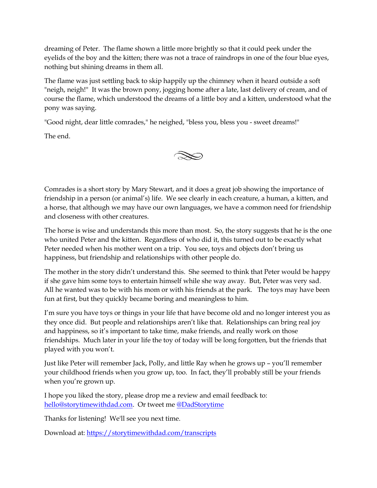dreaming of Peter. The flame shown a little more brightly so that it could peek under the eyelids of the boy and the kitten; there was not a trace of raindrops in one of the four blue eyes, nothing but shining dreams in them all.

The flame was just settling back to skip happily up the chimney when it heard outside a soft "neigh, neigh!" It was the brown pony, jogging home after a late, last delivery of cream, and of course the flame, which understood the dreams of a little boy and a kitten, understood what the pony was saying.

"Good night, dear little comrades," he neighed, "bless you, bless you - sweet dreams!"

The end.



Comrades is a short story by Mary Stewart, and it does a great job showing the importance of friendship in a person (or animal's) life. We see clearly in each creature, a human, a kitten, and a horse, that although we may have our own languages, we have a common need for friendship and closeness with other creatures.

The horse is wise and understands this more than most. So, the story suggests that he is the one who united Peter and the kitten. Regardless of who did it, this turned out to be exactly what Peter needed when his mother went on a trip. You see, toys and objects don't bring us happiness, but friendship and relationships with other people do.

The mother in the story didn't understand this. She seemed to think that Peter would be happy if she gave him some toys to entertain himself while she way away. But, Peter was very sad. All he wanted was to be with his mom or with his friends at the park. The toys may have been fun at first, but they quickly became boring and meaningless to him.

I'm sure you have toys or things in your life that have become old and no longer interest you as they once did. But people and relationships aren't like that. Relationships can bring real joy and happiness, so it's important to take time, make friends, and really work on those friendships. Much later in your life the toy of today will be long forgotten, but the friends that played with you won't.

Just like Peter will remember Jack, Polly, and little Ray when he grows up – you'll remember your childhood friends when you grow up, too. In fact, they'll probably still be your friends when you're grown up.

I hope you liked the story, please drop me a review and email feedback to: [hello@storytimewithdad.com.](mailto:hello@storytimewithdad.com) Or tweet me [@DadStorytime](https://twitter.com/DadStorytime)

Thanks for listening! We'll see you next time.

Download at:<https://storytimewithdad.com/transcripts>